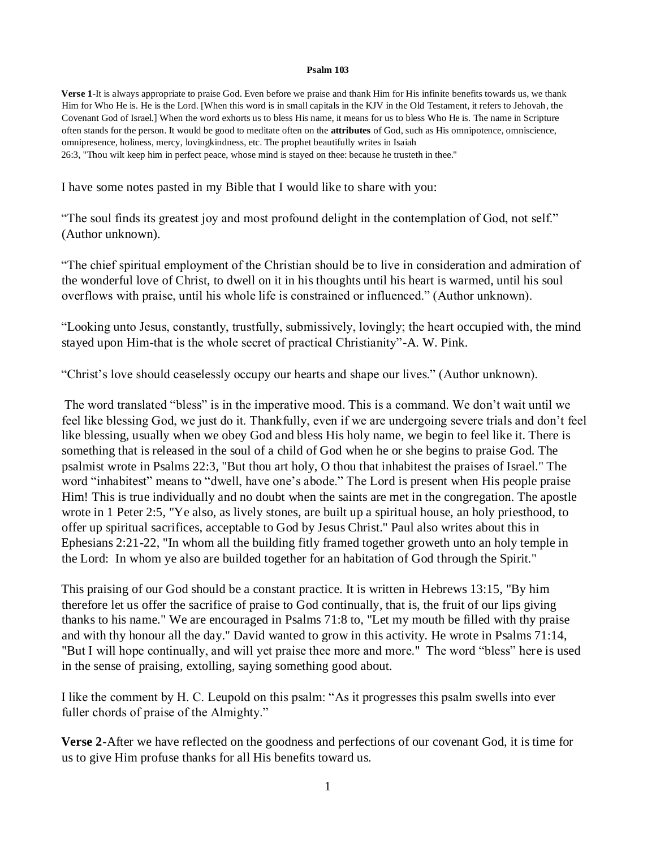## **Psalm 103**

**Verse 1**-It is always appropriate to praise God. Even before we praise and thank Him for His infinite benefits towards us, we thank Him for Who He is. He is the Lord. [When this word is in small capitals in the KJV in the Old Testament, it refers to Jehovah, the Covenant God of Israel.] When the word exhorts us to bless His name, it means for us to bless Who He is. The name in Scripture often stands for the person. It would be good to meditate often on the **attributes** of God, such as His omnipotence, omniscience, omnipresence, holiness, mercy, lovingkindness, etc. The prophet beautifully writes in Isaiah 26:3, "Thou wilt keep him in perfect peace, whose mind is stayed on thee: because he trusteth in thee."

I have some notes pasted in my Bible that I would like to share with you:

"The soul finds its greatest joy and most profound delight in the contemplation of God, not self." (Author unknown).

"The chief spiritual employment of the Christian should be to live in consideration and admiration of the wonderful love of Christ, to dwell on it in his thoughts until his heart is warmed, until his soul overflows with praise, until his whole life is constrained or influenced." (Author unknown).

"Looking unto Jesus, constantly, trustfully, submissively, lovingly; the heart occupied with, the mind stayed upon Him-that is the whole secret of practical Christianity"-A. W. Pink.

"Christ's love should ceaselessly occupy our hearts and shape our lives." (Author unknown).

The word translated "bless" is in the imperative mood. This is a command. We don't wait until we feel like blessing God, we just do it. Thankfully, even if we are undergoing severe trials and don't feel like blessing, usually when we obey God and bless His holy name, we begin to feel like it. There is something that is released in the soul of a child of God when he or she begins to praise God. The psalmist wrote in Psalms 22:3, "But thou art holy, O thou that inhabitest the praises of Israel." The word "inhabitest" means to "dwell, have one's abode." The Lord is present when His people praise Him! This is true individually and no doubt when the saints are met in the congregation. The apostle wrote in 1 Peter 2:5, "Ye also, as lively stones, are built up a spiritual house, an holy priesthood, to offer up spiritual sacrifices, acceptable to God by Jesus Christ." Paul also writes about this in Ephesians 2:21-22, "In whom all the building fitly framed together groweth unto an holy temple in the Lord: In whom ye also are builded together for an habitation of God through the Spirit."

This praising of our God should be a constant practice. It is written in Hebrews 13:15, "By him therefore let us offer the sacrifice of praise to God continually, that is, the fruit of our lips giving thanks to his name." We are encouraged in Psalms 71:8 to, "Let my mouth be filled with thy praise and with thy honour all the day." David wanted to grow in this activity. He wrote in Psalms 71:14, "But I will hope continually, and will yet praise thee more and more." The word "bless" here is used in the sense of praising, extolling, saying something good about.

I like the comment by H. C. Leupold on this psalm: "As it progresses this psalm swells into ever fuller chords of praise of the Almighty."

**Verse 2**-After we have reflected on the goodness and perfections of our covenant God, it is time for us to give Him profuse thanks for all His benefits toward us.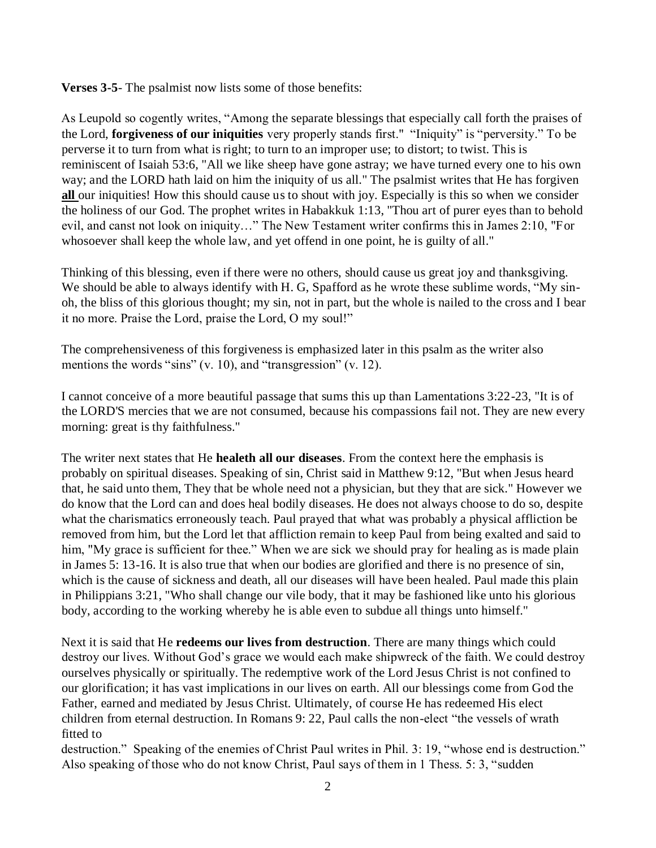**Verses 3-5**- The psalmist now lists some of those benefits:

As Leupold so cogently writes, "Among the separate blessings that especially call forth the praises of the Lord, **forgiveness of our iniquities** very properly stands first." "Iniquity" is "perversity." To be perverse it to turn from what is right; to turn to an improper use; to distort; to twist. This is reminiscent of Isaiah 53:6, "All we like sheep have gone astray; we have turned every one to his own way; and the LORD hath laid on him the iniquity of us all." The psalmist writes that He has forgiven **all** our iniquities! How this should cause us to shout with joy. Especially is this so when we consider the holiness of our God. The prophet writes in Habakkuk 1:13, "Thou art of purer eyes than to behold evil, and canst not look on iniquity…" The New Testament writer confirms this in James 2:10, "For whosoever shall keep the whole law, and yet offend in one point, he is guilty of all."

Thinking of this blessing, even if there were no others, should cause us great joy and thanksgiving. We should be able to always identify with H. G, Spafford as he wrote these sublime words, "My sinoh, the bliss of this glorious thought; my sin, not in part, but the whole is nailed to the cross and I bear it no more. Praise the Lord, praise the Lord, O my soul!"

The comprehensiveness of this forgiveness is emphasized later in this psalm as the writer also mentions the words "sins" (v. 10), and "transgression" (v. 12).

I cannot conceive of a more beautiful passage that sums this up than Lamentations 3:22-23, "It is of the LORD'S mercies that we are not consumed, because his compassions fail not. They are new every morning: great is thy faithfulness."

The writer next states that He **healeth all our diseases**. From the context here the emphasis is probably on spiritual diseases. Speaking of sin, Christ said in Matthew 9:12, "But when Jesus heard that, he said unto them, They that be whole need not a physician, but they that are sick." However we do know that the Lord can and does heal bodily diseases. He does not always choose to do so, despite what the charismatics erroneously teach. Paul prayed that what was probably a physical affliction be removed from him, but the Lord let that affliction remain to keep Paul from being exalted and said to him, "My grace is sufficient for thee." When we are sick we should pray for healing as is made plain in James 5: 13-16. It is also true that when our bodies are glorified and there is no presence of sin, which is the cause of sickness and death, all our diseases will have been healed. Paul made this plain in Philippians 3:21, "Who shall change our vile body, that it may be fashioned like unto his glorious body, according to the working whereby he is able even to subdue all things unto himself."

Next it is said that He **redeems our lives from destruction**. There are many things which could destroy our lives. Without God's grace we would each make shipwreck of the faith. We could destroy ourselves physically or spiritually. The redemptive work of the Lord Jesus Christ is not confined to our glorification; it has vast implications in our lives on earth. All our blessings come from God the Father, earned and mediated by Jesus Christ. Ultimately, of course He has redeemed His elect children from eternal destruction. In Romans 9: 22, Paul calls the non-elect "the vessels of wrath fitted to

destruction." Speaking of the enemies of Christ Paul writes in Phil. 3: 19, "whose end is destruction." Also speaking of those who do not know Christ, Paul says of them in 1 Thess. 5: 3, "sudden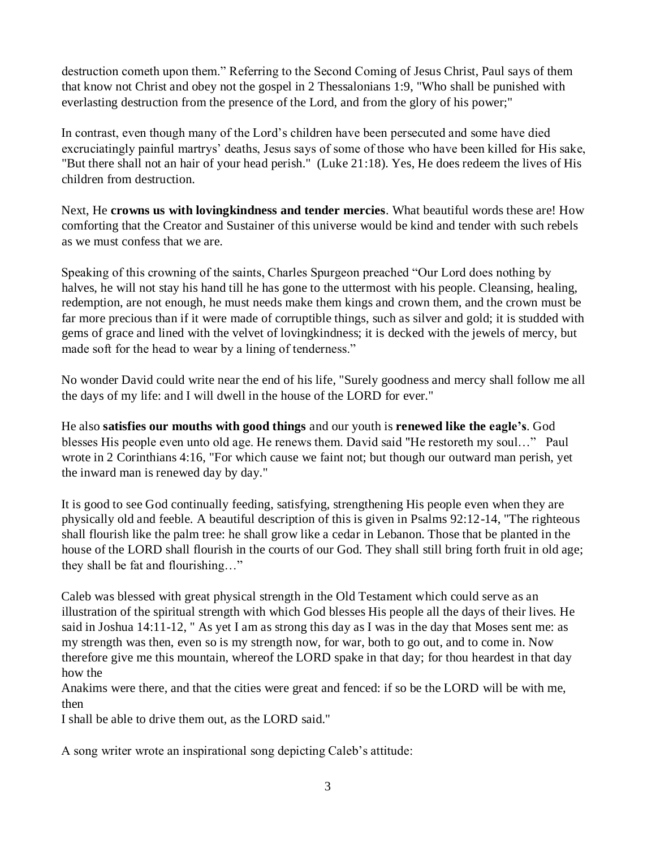destruction cometh upon them." Referring to the Second Coming of Jesus Christ, Paul says of them that know not Christ and obey not the gospel in 2 Thessalonians 1:9, "Who shall be punished with everlasting destruction from the presence of the Lord, and from the glory of his power;"

In contrast, even though many of the Lord's children have been persecuted and some have died excruciatingly painful martrys' deaths, Jesus says of some of those who have been killed for His sake, "But there shall not an hair of your head perish." (Luke 21:18). Yes, He does redeem the lives of His children from destruction.

Next, He **crowns us with lovingkindness and tender mercies**. What beautiful words these are! How comforting that the Creator and Sustainer of this universe would be kind and tender with such rebels as we must confess that we are.

Speaking of this crowning of the saints, Charles Spurgeon preached "Our Lord does nothing by halves, he will not stay his hand till he has gone to the uttermost with his people. Cleansing, healing, redemption, are not enough, he must needs make them kings and crown them, and the crown must be far more precious than if it were made of corruptible things, such as silver and gold; it is studded with gems of grace and lined with the velvet of lovingkindness; it is decked with the jewels of mercy, but made soft for the head to wear by a lining of tenderness."

No wonder David could write near the end of his life, "Surely goodness and mercy shall follow me all the days of my life: and I will dwell in the house of the LORD for ever."

He also **satisfies our mouths with good things** and our youth is **renewed like the eagle's**. God blesses His people even unto old age. He renews them. David said "He restoreth my soul…" Paul wrote in 2 Corinthians 4:16, "For which cause we faint not; but though our outward man perish, yet the inward man is renewed day by day."

It is good to see God continually feeding, satisfying, strengthening His people even when they are physically old and feeble. A beautiful description of this is given in Psalms 92:12-14, "The righteous shall flourish like the palm tree: he shall grow like a cedar in Lebanon. Those that be planted in the house of the LORD shall flourish in the courts of our God. They shall still bring forth fruit in old age; they shall be fat and flourishing…"

Caleb was blessed with great physical strength in the Old Testament which could serve as an illustration of the spiritual strength with which God blesses His people all the days of their lives. He said in Joshua 14:11-12, " As yet I am as strong this day as I was in the day that Moses sent me: as my strength was then, even so is my strength now, for war, both to go out, and to come in. Now therefore give me this mountain, whereof the LORD spake in that day; for thou heardest in that day how the

Anakims were there, and that the cities were great and fenced: if so be the LORD will be with me, then

I shall be able to drive them out, as the LORD said."

A song writer wrote an inspirational song depicting Caleb's attitude: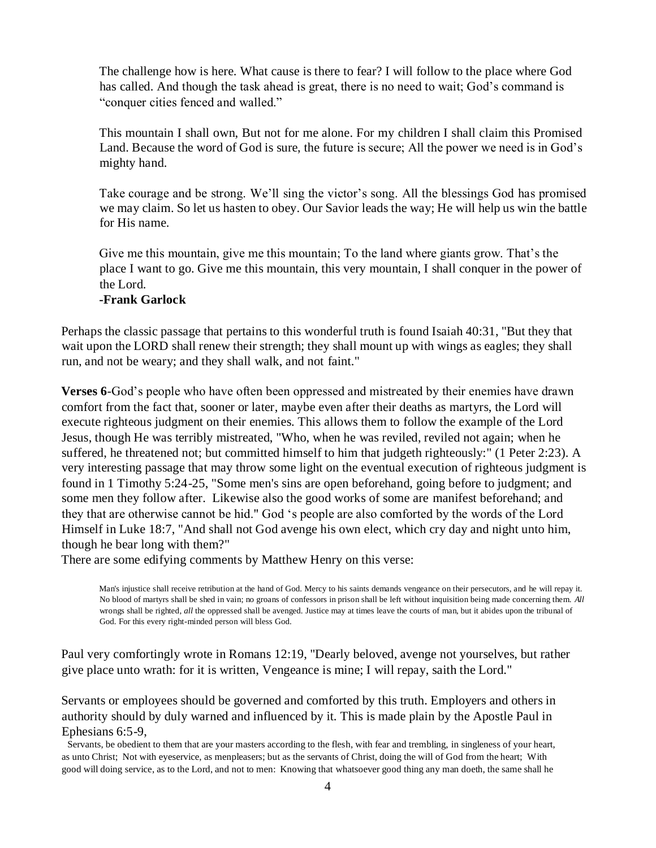The challenge how is here. What cause is there to fear? I will follow to the place where God has called. And though the task ahead is great, there is no need to wait; God's command is "conquer cities fenced and walled."

This mountain I shall own, But not for me alone. For my children I shall claim this Promised Land. Because the word of God is sure, the future is secure; All the power we need is in God's mighty hand.

Take courage and be strong. We'll sing the victor's song. All the blessings God has promised we may claim. So let us hasten to obey. Our Savior leads the way; He will help us win the battle for His name.

Give me this mountain, give me this mountain; To the land where giants grow. That's the place I want to go. Give me this mountain, this very mountain, I shall conquer in the power of the Lord.

## **-Frank Garlock**

Perhaps the classic passage that pertains to this wonderful truth is found Isaiah 40:31, "But they that wait upon the LORD shall renew their strength; they shall mount up with wings as eagles; they shall run, and not be weary; and they shall walk, and not faint."

**Verses 6-God's people who have often been oppressed and mistreated by their enemies have drawn** comfort from the fact that, sooner or later, maybe even after their deaths as martyrs, the Lord will execute righteous judgment on their enemies. This allows them to follow the example of the Lord Jesus, though He was terribly mistreated, "Who, when he was reviled, reviled not again; when he suffered, he threatened not; but committed himself to him that judgeth righteously:" (1 Peter 2:23). A very interesting passage that may throw some light on the eventual execution of righteous judgment is found in 1 Timothy 5:24-25, "Some men's sins are open beforehand, going before to judgment; and some men they follow after. Likewise also the good works of some are manifest beforehand; and they that are otherwise cannot be hid." God 's people are also comforted by the words of the Lord Himself in Luke 18:7, "And shall not God avenge his own elect, which cry day and night unto him, though he bear long with them?"

There are some edifying comments by Matthew Henry on this verse:

Man's injustice shall receive retribution at the hand of God. Mercy to his saints demands vengeance on their persecutors, and he will repay it. No blood of martyrs shall be shed in vain; no groans of confessors in prison shall be left without inquisition being made concerning them. *All* wrongs shall be righted, *all* the oppressed shall be avenged. Justice may at times leave the courts of man, but it abides upon the tribunal of God. For this every right-minded person will bless God.

Paul very comfortingly wrote in Romans 12:19, "Dearly beloved, avenge not yourselves, but rather give place unto wrath: for it is written, Vengeance is mine; I will repay, saith the Lord."

Servants or employees should be governed and comforted by this truth. Employers and others in authority should by duly warned and influenced by it. This is made plain by the Apostle Paul in Ephesians 6:5-9,

Servants, be obedient to them that are your masters according to the flesh, with fear and trembling, in singleness of your heart, as unto Christ; Not with eyeservice, as menpleasers; but as the servants of Christ, doing the will of God from the heart; With good will doing service, as to the Lord, and not to men: Knowing that whatsoever good thing any man doeth, the same shall he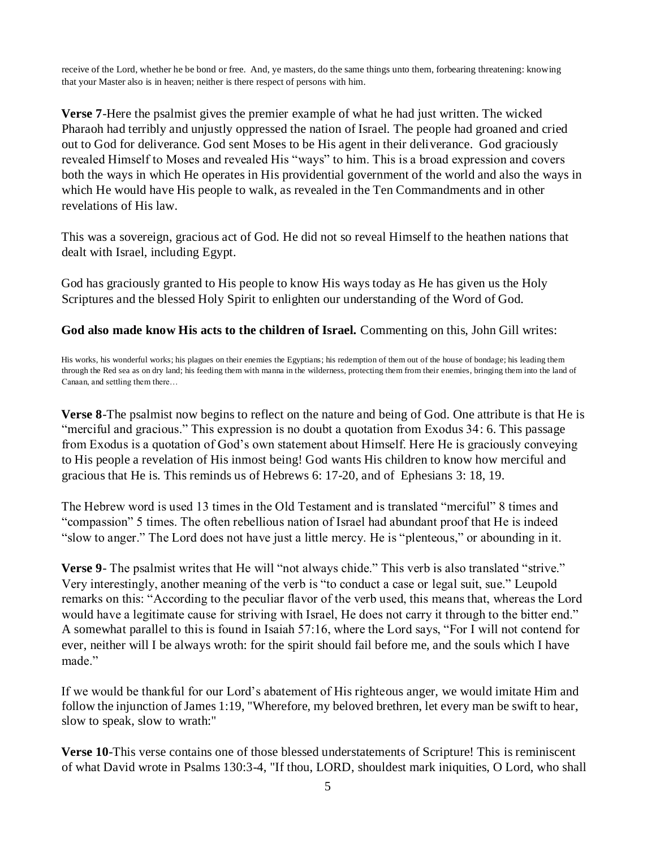receive of the Lord, whether he be bond or free. And, ye masters, do the same things unto them, forbearing threatening: knowing that your Master also is in heaven; neither is there respect of persons with him.

**Verse 7**-Here the psalmist gives the premier example of what he had just written. The wicked Pharaoh had terribly and unjustly oppressed the nation of Israel. The people had groaned and cried out to God for deliverance. God sent Moses to be His agent in their deliverance. God graciously revealed Himself to Moses and revealed His "ways" to him. This is a broad expression and covers both the ways in which He operates in His providential government of the world and also the ways in which He would have His people to walk, as revealed in the Ten Commandments and in other revelations of His law.

This was a sovereign, gracious act of God. He did not so reveal Himself to the heathen nations that dealt with Israel, including Egypt.

God has graciously granted to His people to know His ways today as He has given us the Holy Scriptures and the blessed Holy Spirit to enlighten our understanding of the Word of God.

**God also made know His acts to the children of Israel.** Commenting on this, John Gill writes:

His works, his wonderful works; his plagues on their enemies the Egyptians; his redemption of them out of the house of bondage; his leading them through the Red sea as on dry land; his feeding them with manna in the wilderness, protecting them from their enemies, bringing them into the land of Canaan, and settling them there…

**Verse 8**-The psalmist now begins to reflect on the nature and being of God. One attribute is that He is "merciful and gracious." This expression is no doubt a quotation from Exodus 34: 6. This passage from Exodus is a quotation of God's own statement about Himself. Here He is graciously conveying to His people a revelation of His inmost being! God wants His children to know how merciful and gracious that He is. This reminds us of Hebrews 6: 17-20, and of Ephesians 3: 18, 19.

The Hebrew word is used 13 times in the Old Testament and is translated "merciful" 8 times and "compassion" 5 times. The often rebellious nation of Israel had abundant proof that He is indeed "slow to anger." The Lord does not have just a little mercy. He is "plenteous," or abounding in it.

**Verse 9**- The psalmist writes that He will "not always chide." This verb is also translated "strive." Very interestingly, another meaning of the verb is "to conduct a case or legal suit, sue." Leupold remarks on this: "According to the peculiar flavor of the verb used, this means that, whereas the Lord would have a legitimate cause for striving with Israel, He does not carry it through to the bitter end." A somewhat parallel to this is found in Isaiah 57:16, where the Lord says, "For I will not contend for ever, neither will I be always wroth: for the spirit should fail before me, and the souls which I have made."

If we would be thankful for our Lord's abatement of His righteous anger, we would imitate Him and follow the injunction of James 1:19, "Wherefore, my beloved brethren, let every man be swift to hear, slow to speak, slow to wrath:"

**Verse 10**-This verse contains one of those blessed understatements of Scripture! This is reminiscent of what David wrote in Psalms 130:3-4, "If thou, LORD, shouldest mark iniquities, O Lord, who shall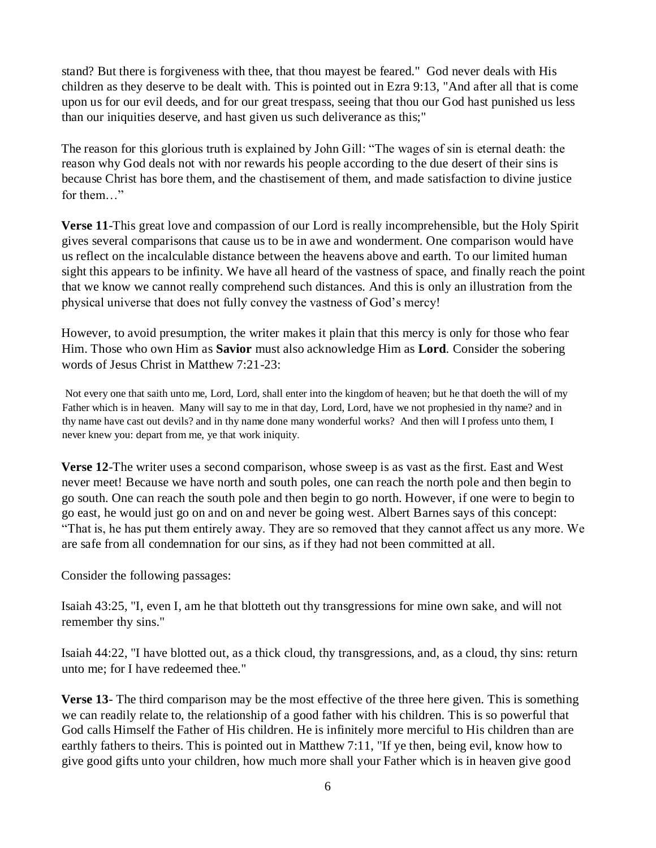stand? But there is forgiveness with thee, that thou mayest be feared." God never deals with His children as they deserve to be dealt with. This is pointed out in Ezra 9:13, "And after all that is come upon us for our evil deeds, and for our great trespass, seeing that thou our God hast punished us less than our iniquities deserve, and hast given us such deliverance as this;"

The reason for this glorious truth is explained by John Gill: "The wages of sin is eternal death: the reason why God deals not with nor rewards his people according to the due desert of their sins is because Christ has bore them, and the chastisement of them, and made satisfaction to divine justice for them…"

**Verse 11**-This great love and compassion of our Lord is really incomprehensible, but the Holy Spirit gives several comparisons that cause us to be in awe and wonderment. One comparison would have us reflect on the incalculable distance between the heavens above and earth. To our limited human sight this appears to be infinity. We have all heard of the vastness of space, and finally reach the point that we know we cannot really comprehend such distances. And this is only an illustration from the physical universe that does not fully convey the vastness of God's mercy!

However, to avoid presumption, the writer makes it plain that this mercy is only for those who fear Him. Those who own Him as **Savior** must also acknowledge Him as **Lord**. Consider the sobering words of Jesus Christ in Matthew 7:21-23:

Not every one that saith unto me, Lord, Lord, shall enter into the kingdom of heaven; but he that doeth the will of my Father which is in heaven. Many will say to me in that day, Lord, Lord, have we not prophesied in thy name? and in thy name have cast out devils? and in thy name done many wonderful works? And then will I profess unto them, I never knew you: depart from me, ye that work iniquity.

**Verse 12**-The writer uses a second comparison, whose sweep is as vast as the first. East and West never meet! Because we have north and south poles, one can reach the north pole and then begin to go south. One can reach the south pole and then begin to go north. However, if one were to begin to go east, he would just go on and on and never be going west. Albert Barnes says of this concept: "That is, he has put them entirely away. They are so removed that they cannot affect us any more. We are safe from all condemnation for our sins, as if they had not been committed at all.

Consider the following passages:

Isaiah 43:25, "I, even I, am he that blotteth out thy transgressions for mine own sake, and will not remember thy sins."

Isaiah 44:22, "I have blotted out, as a thick cloud, thy transgressions, and, as a cloud, thy sins: return unto me; for I have redeemed thee."

**Verse 13**- The third comparison may be the most effective of the three here given. This is something we can readily relate to, the relationship of a good father with his children. This is so powerful that God calls Himself the Father of His children. He is infinitely more merciful to His children than are earthly fathers to theirs. This is pointed out in Matthew 7:11, "If ye then, being evil, know how to give good gifts unto your children, how much more shall your Father which is in heaven give good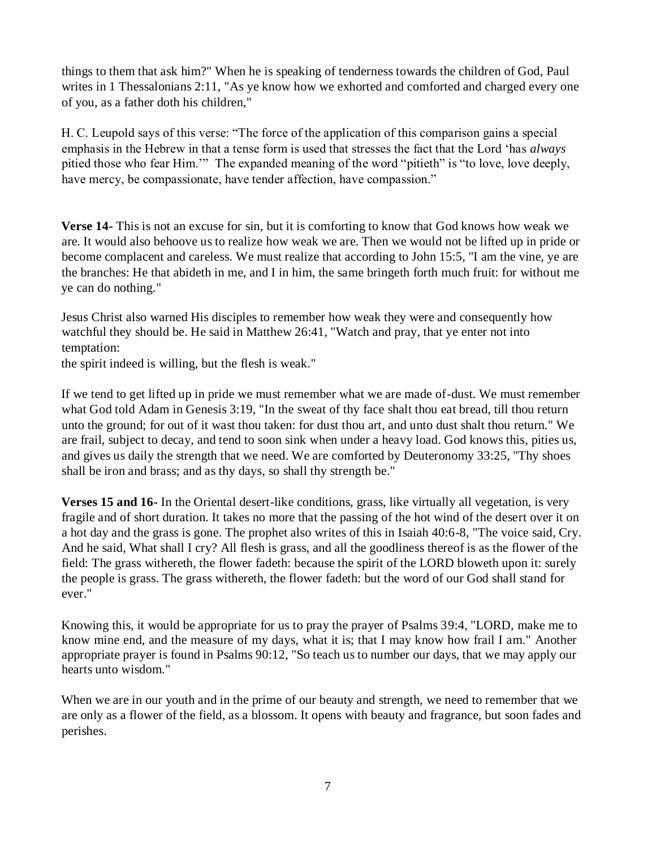things to them that ask him?" When he is speaking of tenderness towards the children of God, Paul writes in 1 Thessalonians 2:11, "As ye know how we exhorted and comforted and charged every one of you, as a father doth his children,"

H. C. Leupold says of this verse: "The force of the application of this comparison gains a special emphasis in the Hebrew in that a tense form is used that stresses the fact that the Lord 'has *always*  pitied those who fear Him.'" The expanded meaning of the word "pitieth" is "to love, love deeply, have mercy, be compassionate, have tender affection, have compassion."

**Verse 14-** This is not an excuse for sin, but it is comforting to know that God knows how weak we are. It would also behoove us to realize how weak we are. Then we would not be lifted up in pride or become complacent and careless. We must realize that according to John 15:5, "I am the vine, ye are the branches: He that abideth in me, and I in him, the same bringeth forth much fruit: for without me ye can do nothing."

Jesus Christ also warned His disciples to remember how weak they were and consequently how watchful they should be. He said in Matthew 26:41, "Watch and pray, that ye enter not into temptation:

the spirit indeed is willing, but the flesh is weak."

If we tend to get lifted up in pride we must remember what we are made of-dust. We must remember what God told Adam in Genesis 3:19, "In the sweat of thy face shalt thou eat bread, till thou return unto the ground; for out of it wast thou taken: for dust thou art, and unto dust shalt thou return." We are frail, subject to decay, and tend to soon sink when under a heavy load. God knows this, pities us, and gives us daily the strength that we need. We are comforted by Deuteronomy 33:25, "Thy shoes shall be iron and brass; and as thy days, so shall thy strength be."

**Verses 15 and 16-** In the Oriental desert-like conditions, grass, like virtually all vegetation, is very fragile and of short duration. It takes no more that the passing of the hot wind of the desert over it on a hot day and the grass is gone. The prophet also writes of this in Isaiah 40:6-8, "The voice said, Cry. And he said, What shall I cry? All flesh is grass, and all the goodliness thereof is as the flower of the field: The grass withereth, the flower fadeth: because the spirit of the LORD bloweth upon it: surely the people is grass. The grass withereth, the flower fadeth: but the word of our God shall stand for ever."

Knowing this, it would be appropriate for us to pray the prayer of Psalms 39:4, "LORD, make me to know mine end, and the measure of my days, what it is; that I may know how frail I am." Another appropriate prayer is found in Psalms 90:12, "So teach us to number our days, that we may apply our hearts unto wisdom."

When we are in our youth and in the prime of our beauty and strength, we need to remember that we are only as a flower of the field, as a blossom. It opens with beauty and fragrance, but soon fades and perishes.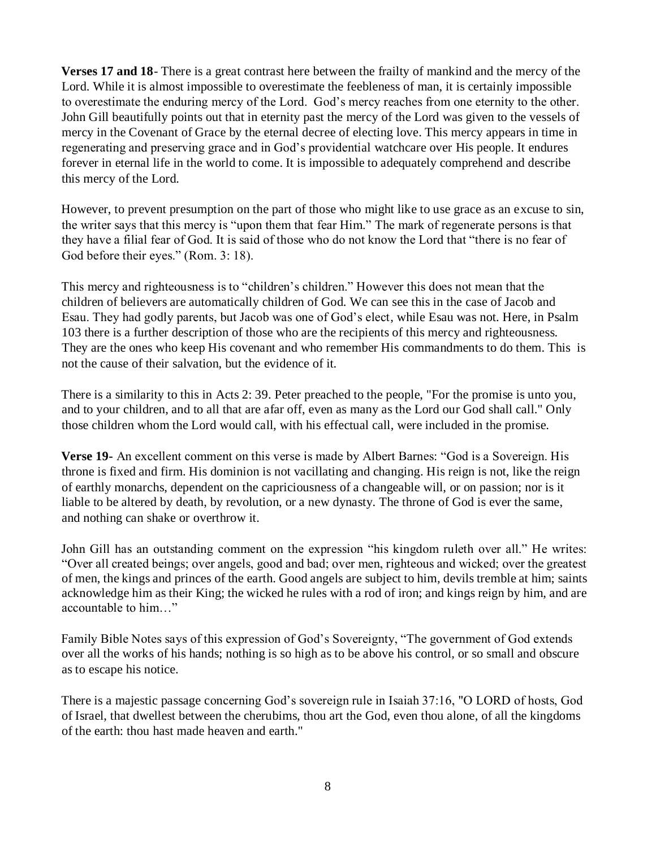**Verses 17 and 18**- There is a great contrast here between the frailty of mankind and the mercy of the Lord. While it is almost impossible to overestimate the feebleness of man, it is certainly impossible to overestimate the enduring mercy of the Lord. God's mercy reaches from one eternity to the other. John Gill beautifully points out that in eternity past the mercy of the Lord was given to the vessels of mercy in the Covenant of Grace by the eternal decree of electing love. This mercy appears in time in regenerating and preserving grace and in God's providential watchcare over His people. It endures forever in eternal life in the world to come. It is impossible to adequately comprehend and describe this mercy of the Lord.

However, to prevent presumption on the part of those who might like to use grace as an excuse to sin, the writer says that this mercy is "upon them that fear Him." The mark of regenerate persons is that they have a filial fear of God. It is said of those who do not know the Lord that "there is no fear of God before their eyes." (Rom. 3: 18).

This mercy and righteousness is to "children's children." However this does not mean that the children of believers are automatically children of God. We can see this in the case of Jacob and Esau. They had godly parents, but Jacob was one of God's elect, while Esau was not. Here, in Psalm 103 there is a further description of those who are the recipients of this mercy and righteousness. They are the ones who keep His covenant and who remember His commandments to do them. This is not the cause of their salvation, but the evidence of it.

There is a similarity to this in Acts 2: 39. Peter preached to the people, "For the promise is unto you, and to your children, and to all that are afar off, even as many as the Lord our God shall call." Only those children whom the Lord would call, with his effectual call, were included in the promise.

**Verse 19-** An excellent comment on this verse is made by Albert Barnes: "God is a Sovereign. His throne is fixed and firm. His dominion is not vacillating and changing. His reign is not, like the reign of earthly monarchs, dependent on the capriciousness of a changeable will, or on passion; nor is it liable to be altered by death, by revolution, or a new dynasty. The throne of God is ever the same, and nothing can shake or overthrow it.

John Gill has an outstanding comment on the expression "his kingdom ruleth over all." He writes: "Over all created beings; over angels, good and bad; over men, righteous and wicked; over the greatest of men, the kings and princes of the earth. Good angels are subject to him, devils tremble at him; saints acknowledge him as their King; the wicked he rules with a rod of iron; and kings reign by him, and are accountable to him…"

Family Bible Notes says of this expression of God's Sovereignty, "The government of God extends over all the works of his hands; nothing is so high as to be above his control, or so small and obscure as to escape his notice.

There is a majestic passage concerning God's sovereign rule in Isaiah 37:16, "O LORD of hosts, God of Israel, that dwellest between the cherubims, thou art the God, even thou alone, of all the kingdoms of the earth: thou hast made heaven and earth."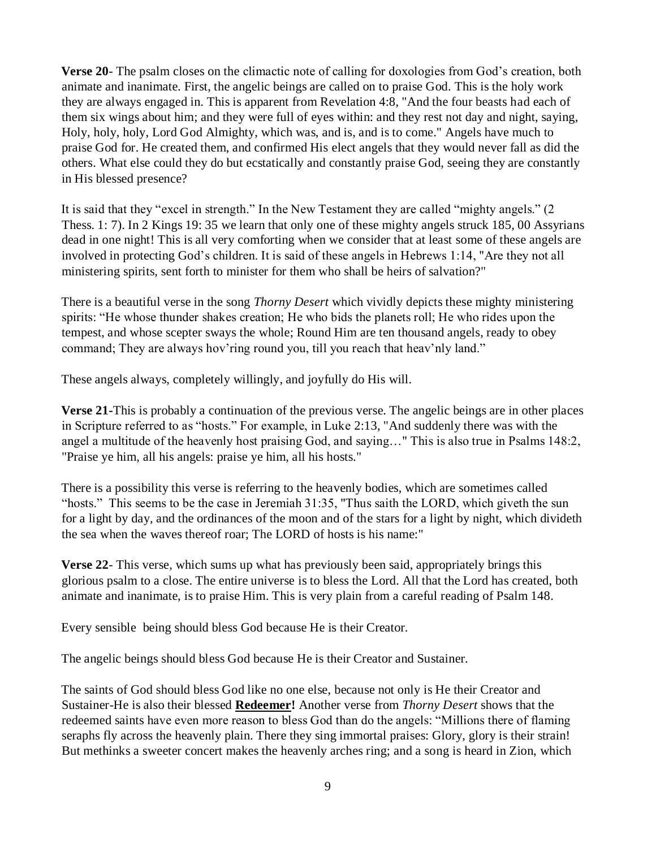**Verse 20**- The psalm closes on the climactic note of calling for doxologies from God's creation, both animate and inanimate. First, the angelic beings are called on to praise God. This is the holy work they are always engaged in. This is apparent from Revelation 4:8, "And the four beasts had each of them six wings about him; and they were full of eyes within: and they rest not day and night, saying, Holy, holy, holy, Lord God Almighty, which was, and is, and is to come." Angels have much to praise God for. He created them, and confirmed His elect angels that they would never fall as did the others. What else could they do but ecstatically and constantly praise God, seeing they are constantly in His blessed presence?

It is said that they "excel in strength." In the New Testament they are called "mighty angels." (2 Thess. 1: 7). In 2 Kings 19: 35 we learn that only one of these mighty angels struck 185, 00 Assyrians dead in one night! This is all very comforting when we consider that at least some of these angels are involved in protecting God's children. It is said of these angels in Hebrews 1:14, "Are they not all ministering spirits, sent forth to minister for them who shall be heirs of salvation?"

There is a beautiful verse in the song *Thorny Desert* which vividly depicts these mighty ministering spirits: "He whose thunder shakes creation; He who bids the planets roll; He who rides upon the tempest, and whose scepter sways the whole; Round Him are ten thousand angels, ready to obey command; They are always hov'ring round you, till you reach that heav'nly land."

These angels always, completely willingly, and joyfully do His will.

**Verse 21-**This is probably a continuation of the previous verse. The angelic beings are in other places in Scripture referred to as "hosts." For example, in Luke 2:13, "And suddenly there was with the angel a multitude of the heavenly host praising God, and saying…" This is also true in Psalms 148:2, "Praise ye him, all his angels: praise ye him, all his hosts."

There is a possibility this verse is referring to the heavenly bodies, which are sometimes called "hosts." This seems to be the case in Jeremiah 31:35, "Thus saith the LORD, which giveth the sun for a light by day, and the ordinances of the moon and of the stars for a light by night, which divideth the sea when the waves thereof roar; The LORD of hosts is his name:"

**Verse 22**- This verse, which sums up what has previously been said, appropriately brings this glorious psalm to a close. The entire universe is to bless the Lord. All that the Lord has created, both animate and inanimate, is to praise Him. This is very plain from a careful reading of Psalm 148.

Every sensible being should bless God because He is their Creator.

The angelic beings should bless God because He is their Creator and Sustainer.

The saints of God should bless God like no one else, because not only is He their Creator and Sustainer-He is also their blessed **Redeemer!** Another verse from *Thorny Desert* shows that the redeemed saints have even more reason to bless God than do the angels: "Millions there of flaming seraphs fly across the heavenly plain. There they sing immortal praises: Glory, glory is their strain! But methinks a sweeter concert makes the heavenly arches ring; and a song is heard in Zion, which